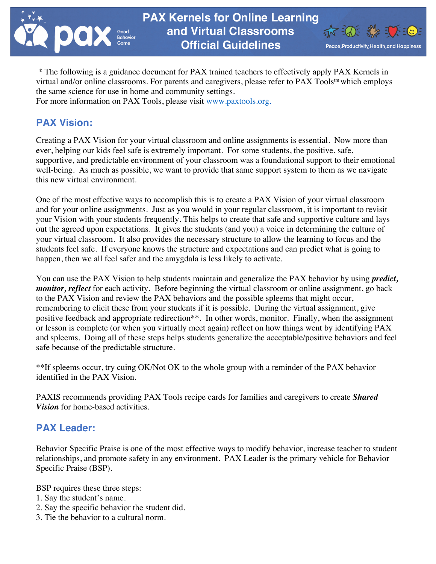



\* The following is a guidance document for PAX trained teachers to effectively apply PAX Kernels in virtual and/or online classrooms. For parents and caregivers, please refer to PAX Tools<sup>tm</sup> which employs the same science for use in home and community settings.

For more information on PAX Tools, please visit www.paxtools.org.

# **PAX Vision:**

Creating a PAX Vision for your virtual classroom and online assignments is essential. Now more than ever, helping our kids feel safe is extremely important. For some students, the positive, safe, supportive, and predictable environment of your classroom was a foundational support to their emotional well-being. As much as possible, we want to provide that same support system to them as we navigate this new virtual environment.

One of the most effective ways to accomplish this is to create a PAX Vision of your virtual classroom and for your online assignments. Just as you would in your regular classroom, it is important to revisit your Vision with your students frequently. This helps to create that safe and supportive culture and lays out the agreed upon expectations. It gives the students (and you) a voice in determining the culture of your virtual classroom. It also provides the necessary structure to allow the learning to focus and the students feel safe. If everyone knows the structure and expectations and can predict what is going to happen, then we all feel safer and the amygdala is less likely to activate.

You can use the PAX Vision to help students maintain and generalize the PAX behavior by using *predict, monitor, reflect* for each activity. Before beginning the virtual classroom or online assignment, go back to the PAX Vision and review the PAX behaviors and the possible spleems that might occur, remembering to elicit these from your students if it is possible. During the virtual assignment, give positive feedback and appropriate redirection\*\*. In other words, monitor. Finally, when the assignment or lesson is complete (or when you virtually meet again) reflect on how things went by identifying PAX and spleems. Doing all of these steps helps students generalize the acceptable/positive behaviors and feel safe because of the predictable structure.

\*\*If spleems occur, try cuing OK/Not OK to the whole group with a reminder of the PAX behavior identified in the PAX Vision.

PAXIS recommends providing PAX Tools recipe cards for families and caregivers to create *Shared Vision* for home-based activities.

# **PAX Leader:**

Behavior Specific Praise is one of the most effective ways to modify behavior, increase teacher to student relationships, and promote safety in any environment. PAX Leader is the primary vehicle for Behavior Specific Praise (BSP).

BSP requires these three steps:

- 1. Say the student's name.
- 2. Say the specific behavior the student did.
- 3. Tie the behavior to a cultural norm.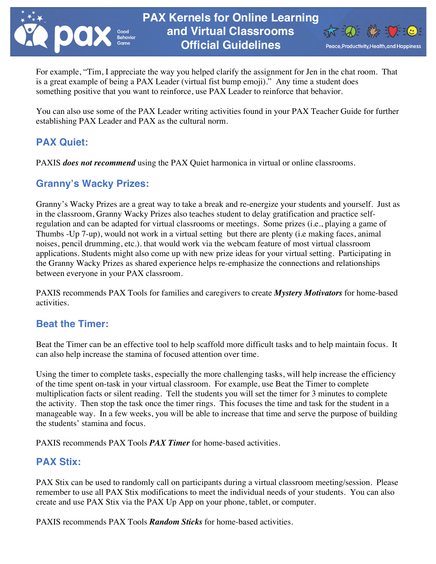



For example, "Tim, I appreciate the way you helped clarify the assignment for Jen in the chat room. That is a great example of being a PAX Leader (virtual fist bump emoji)." Any time a student does something positive that you want to reinforce, use PAX Leader to reinforce that behavior.

You can also use some of the PAX Leader writing activities found in your PAX Teacher Guide for further establishing PAX Leader and PAX as the cultural norm.

# **PAX Quiet:**

PAXIS *does not recommend* using the PAX Quiet harmonica in virtual or online classrooms.

## **Granny's Wacky Prizes:**

Granny's Wacky Prizes are a great way to take a break and re-energize your students and yourself. Just as in the classroom, Granny Wacky Prizes also teaches student to delay gratification and practice selfregulation and can be adapted for virtual classrooms or meetings. Some prizes (i.e., playing a game of Thumbs -Up 7-up), would not work in a virtual setting but there are plenty (i.e making faces, animal noises, pencil drumming, etc.). that would work via the webcam feature of most virtual classroom applications. Students might also come up with new prize ideas for your virtual setting. Participating in the Granny Wacky Prizes as shared experience helps re-emphasize the connections and relationships between everyone in your PAX classroom.

PAXIS recommends PAX Tools for families and caregivers to create *Mystery Motivators* for home-based activities.

#### **Beat the Timer:**

Beat the Timer can be an effective tool to help scaffold more difficult tasks and to help maintain focus. It can also help increase the stamina of focused attention over time.

Using the timer to complete tasks, especially the more challenging tasks, will help increase the efficiency of the time spent on-task in your virtual classroom. For example, use Beat the Timer to complete multiplication facts or silent reading. Tell the students you will set the timer for 3 minutes to complete the activity. Then stop the task once the timer rings. This focuses the time and task for the student in a manageable way. In a few weeks, you will be able to increase that time and serve the purpose of building the students' stamina and focus.

PAXIS recommends PAX Tools *PAX Timer* for home-based activities.

#### **PAX Stix:**

PAX Stix can be used to randomly call on participants during a virtual classroom meeting/session. Please remember to use all PAX Stix modifications to meet the individual needs of your students. You can also create and use PAX Stix via the PAX Up App on your phone, tablet, or computer.

PAXIS recommends PAX Tools *Random Sticks* for home-based activities.